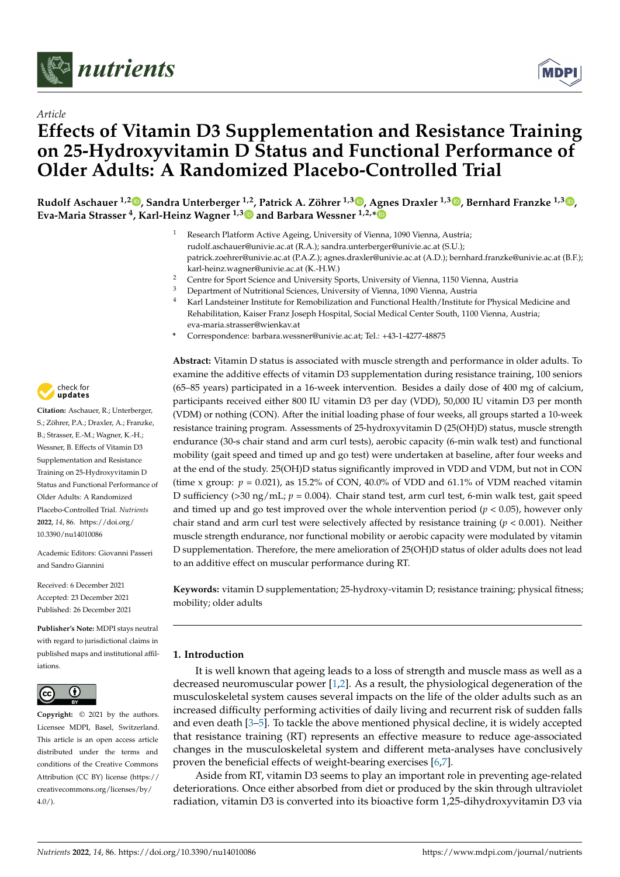



# *Article* **Effects of Vitamin D3 Supplementation and Resistance Training on 25-Hydroxyvitamin D Status and Functional Performance of Older Adults: A Randomized Placebo-Controlled Trial**

**Rudolf Aschauer 1,[2](https://orcid.org/0000-0002-1573-7123) , Sandra Unterberger 1,2[,](https://orcid.org/0000-0002-1683-7265) Patrick A. Zöhrer 1,3 [,](https://orcid.org/0000-0002-6952-2881) Agnes Draxler 1,3 [,](https://orcid.org/0000-0001-9750-4149) Bernhard Franzke 1,3 [,](https://orcid.org/0000-0001-6762-2777) Eva-Maria Strasser <sup>4</sup> , Karl-Heinz Wagner 1,3 and Barbara Wessner 1,2,[\\*](https://orcid.org/0000-0002-9061-7914)**

- <sup>1</sup> Research Platform Active Ageing, University of Vienna, 1090 Vienna, Austria; rudolf.aschauer@univie.ac.at (R.A.); sandra.unterberger@univie.ac.at (S.U.); patrick.zoehrer@univie.ac.at (P.A.Z.); agnes.draxler@univie.ac.at (A.D.); bernhard.franzke@univie.ac.at (B.F.); karl-heinz.wagner@univie.ac.at (K.-H.W.)
- <sup>2</sup> Centre for Sport Science and University Sports, University of Vienna, 1150 Vienna, Austria
- <sup>3</sup> Department of Nutritional Sciences, University of Vienna, 1090 Vienna, Austria<br><sup>4</sup> Karl Landsteiner Institute for Remobilization and Eunctional Health (Institute f
- <sup>4</sup> Karl Landsteiner Institute for Remobilization and Functional Health/Institute for Physical Medicine and Rehabilitation, Kaiser Franz Joseph Hospital, Social Medical Center South, 1100 Vienna, Austria; eva-maria.strasser@wienkav.at
- **\*** Correspondence: barbara.wessner@univie.ac.at; Tel.: +43-1-4277-48875

check for **-**

**Citation:** Aschauer, R.; Unterberger, S.; Zöhrer, P.A.; Draxler, A.; Franzke, B.; Strasser, E.-M.; Wagner, K.-H.; Wessner, B. Effects of Vitamin D3 Supplementation and Resistance Training on 25-Hydroxyvitamin D Status and Functional Performance of Older Adults: A Randomized Placebo-Controlled Trial. *Nutrients* **2022**, *14*, 86. [https://doi.org/](https://doi.org/10.3390/nu14010086) [10.3390/nu14010086](https://doi.org/10.3390/nu14010086)

Academic Editors: Giovanni Passeri and Sandro Giannini

Received: 6 December 2021 Accepted: 23 December 2021 Published: 26 December 2021

**Publisher's Note:** MDPI stays neutral with regard to jurisdictional claims in published maps and institutional affiliations.



**Copyright:** © 2021 by the authors. Licensee MDPI, Basel, Switzerland. This article is an open access article distributed under the terms and conditions of the Creative Commons Attribution (CC BY) license [\(https://](https://creativecommons.org/licenses/by/4.0/) [creativecommons.org/licenses/by/](https://creativecommons.org/licenses/by/4.0/)  $4.0/$ ).

**Abstract:** Vitamin D status is associated with muscle strength and performance in older adults. To examine the additive effects of vitamin D3 supplementation during resistance training, 100 seniors (65–85 years) participated in a 16-week intervention. Besides a daily dose of 400 mg of calcium, participants received either 800 IU vitamin D3 per day (VDD), 50,000 IU vitamin D3 per month (VDM) or nothing (CON). After the initial loading phase of four weeks, all groups started a 10-week resistance training program. Assessments of 25-hydroxyvitamin D (25(OH)D) status, muscle strength endurance (30-s chair stand and arm curl tests), aerobic capacity (6-min walk test) and functional mobility (gait speed and timed up and go test) were undertaken at baseline, after four weeks and at the end of the study. 25(OH)D status significantly improved in VDD and VDM, but not in CON (time x group:  $p = 0.021$ ), as 15.2% of CON, 40.0% of VDD and 61.1% of VDM reached vitamin D sufficiency ( $>30 \text{ ng/mL}$ ;  $p = 0.004$ ). Chair stand test, arm curl test, 6-min walk test, gait speed and timed up and go test improved over the whole intervention period  $(p < 0.05)$ , however only chair stand and arm curl test were selectively affected by resistance training (*p* < 0.001). Neither muscle strength endurance, nor functional mobility or aerobic capacity were modulated by vitamin D supplementation. Therefore, the mere amelioration of 25(OH)D status of older adults does not lead to an additive effect on muscular performance during RT.

**Keywords:** vitamin D supplementation; 25-hydroxy-vitamin D; resistance training; physical fitness; mobility; older adults

# **1. Introduction**

It is well known that ageing leads to a loss of strength and muscle mass as well as a decreased neuromuscular power [\[1,](#page-11-0)[2\]](#page-11-1). As a result, the physiological degeneration of the musculoskeletal system causes several impacts on the life of the older adults such as an increased difficulty performing activities of daily living and recurrent risk of sudden falls and even death [\[3](#page-11-2)[–5\]](#page-11-3). To tackle the above mentioned physical decline, it is widely accepted that resistance training (RT) represents an effective measure to reduce age-associated changes in the musculoskeletal system and different meta-analyses have conclusively proven the beneficial effects of weight-bearing exercises [\[6,](#page-11-4)[7\]](#page-11-5).

Aside from RT, vitamin D3 seems to play an important role in preventing age-related deteriorations. Once either absorbed from diet or produced by the skin through ultraviolet radiation, vitamin D3 is converted into its bioactive form 1,25-dihydroxyvitamin D3 via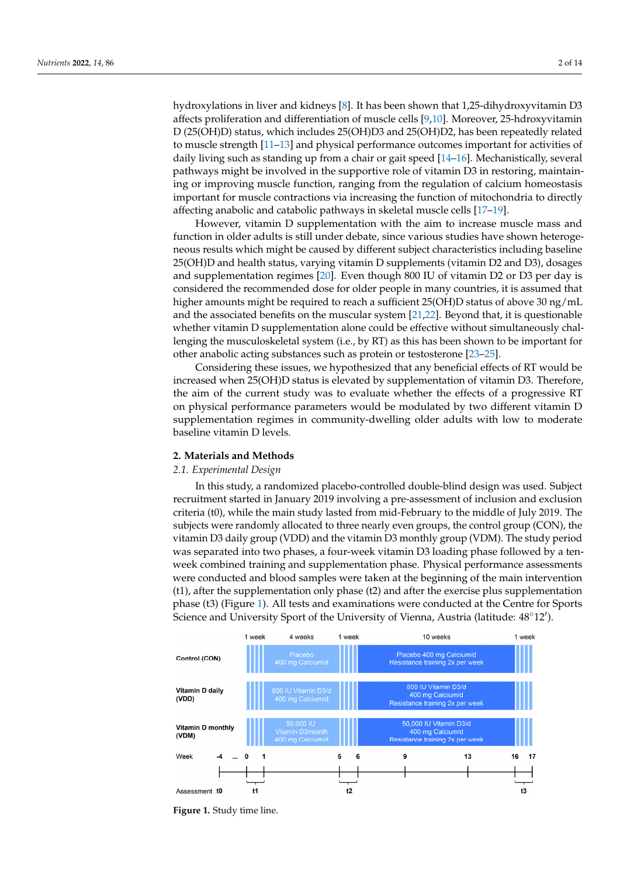hydroxylations in liver and kidneys [\[8\]](#page-11-6). It has been shown that 1,25-dihydroxyvitamin D3 affects proliferation and differentiation of muscle cells [\[9](#page-11-7)[,10\]](#page-11-8). Moreover, 25-hdroxyvitamin D (25(OH)D) status, which includes 25(OH)D3 and 25(OH)D2, has been repeatedly related to muscle strength [\[11](#page-11-9)[–13\]](#page-12-0) and physical performance outcomes important for activities of daily living such as standing up from a chair or gait speed [\[14](#page-12-1)[–16\]](#page-12-2). Mechanistically, several pathways might be involved in the supportive role of vitamin D3 in restoring, maintaining or improving muscle function, ranging from the regulation of calcium homeostasis important for muscle contractions via increasing the function of mitochondria to directly affecting anabolic and catabolic pathways in skeletal muscle cells [\[17](#page-12-3)[–19\]](#page-12-4).

However, vitamin D supplementation with the aim to increase muscle mass and function in older adults is still under debate, since various studies have shown heterogeneous results which might be caused by different subject characteristics including baseline 25(OH)D and health status, varying vitamin D supplements (vitamin D2 and D3), dosages and supplementation regimes [\[20\]](#page-12-5). Even though 800 IU of vitamin D2 or D3 per day is considered the recommended dose for older people in many countries, it is assumed that higher amounts might be required to reach a sufficient 25(OH)D status of above 30 ng/mL and the associated benefits on the muscular system [\[21](#page-12-6)[,22\]](#page-12-7). Beyond that, it is questionable whether vitamin D supplementation alone could be effective without simultaneously challenging the musculoskeletal system (i.e., by RT) as this has been shown to be important for other anabolic acting substances such as protein or testosterone [\[23](#page-12-8)[–25\]](#page-12-9).

Considering these issues, we hypothesized that any beneficial effects of RT would be increased when 25(OH)D status is elevated by supplementation of vitamin D3. Therefore, the aim of the current study was to evaluate whether the effects of a progressive RT on physical performance parameters would be modulated by two different vitamin D supplementation regimes in community-dwelling older adults with low to moderate baseline vitamin D levels.

#### **2. Materials and Methods**

#### *2.1. Experimental Design*

In this study, a randomized placebo-controlled double-blind design was used. Subject recruitment started in January 2019 involving a pre-assessment of inclusion and exclusion criteria (t0), while the main study lasted from mid-February to the middle of July 2019. The subjects were randomly allocated to three nearly even groups, the control group (CON), the vitamin D3 daily group (VDD) and the vitamin D3 monthly group (VDM). The study period was separated into two phases, a four-week vitamin D3 loading phase followed by a tenweek combined training and supplementation phase. Physical performance assessments were conducted and blood samples were taken at the beginning of the main intervention (t1), after the supplementation only phase (t2) and after the exercise plus supplementation phase (t3) (Figure [1\)](#page-1-0). All tests and examinations were conducted at the Centre for Sports Science and University Sport of the University of Vienna, Austria (latitude:  $48^{\circ}12'$ ).

<span id="page-1-0"></span>

**Figure 1.** Study time line. provided the subjects with their daily intake doses. Returned pill boxes were controlled **Figure 1.** Study time line.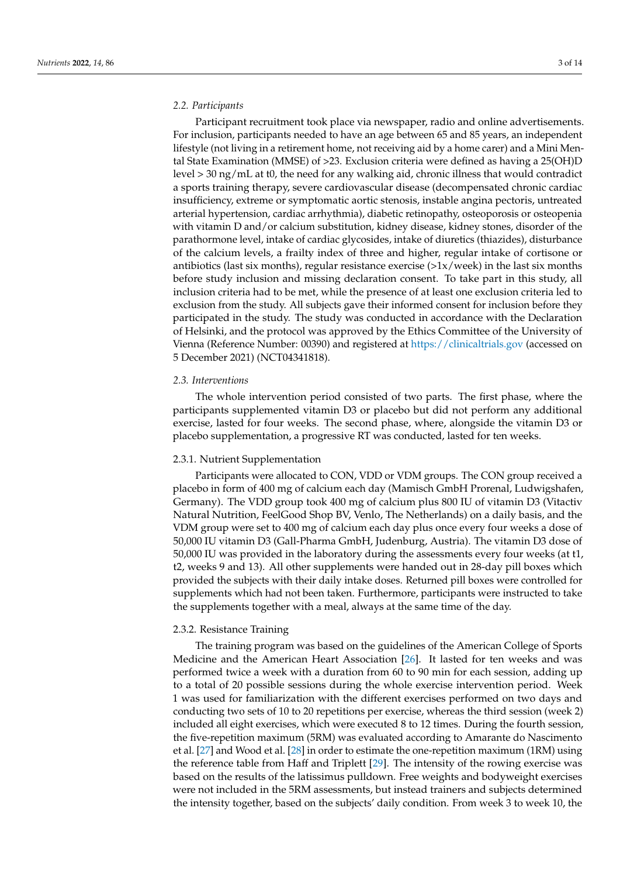#### *2.2. Participants*

Participant recruitment took place via newspaper, radio and online advertisements. For inclusion, participants needed to have an age between 65 and 85 years, an independent lifestyle (not living in a retirement home, not receiving aid by a home carer) and a Mini Mental State Examination (MMSE) of >23. Exclusion criteria were defined as having a 25(OH)D level > 30 ng/mL at t0, the need for any walking aid, chronic illness that would contradict a sports training therapy, severe cardiovascular disease (decompensated chronic cardiac insufficiency, extreme or symptomatic aortic stenosis, instable angina pectoris, untreated arterial hypertension, cardiac arrhythmia), diabetic retinopathy, osteoporosis or osteopenia with vitamin D and/or calcium substitution, kidney disease, kidney stones, disorder of the parathormone level, intake of cardiac glycosides, intake of diuretics (thiazides), disturbance of the calcium levels, a frailty index of three and higher, regular intake of cortisone or antibiotics (last six months), regular resistance exercise  $(>1x/week)$  in the last six months before study inclusion and missing declaration consent. To take part in this study, all inclusion criteria had to be met, while the presence of at least one exclusion criteria led to exclusion from the study. All subjects gave their informed consent for inclusion before they participated in the study. The study was conducted in accordance with the Declaration of Helsinki, and the protocol was approved by the Ethics Committee of the University of Vienna (Reference Number: 00390) and registered at <https://clinicaltrials.gov> (accessed on 5 December 2021) (NCT04341818).

## *2.3. Interventions*

The whole intervention period consisted of two parts. The first phase, where the participants supplemented vitamin D3 or placebo but did not perform any additional exercise, lasted for four weeks. The second phase, where, alongside the vitamin D3 or placebo supplementation, a progressive RT was conducted, lasted for ten weeks.

#### 2.3.1. Nutrient Supplementation

Participants were allocated to CON, VDD or VDM groups. The CON group received a placebo in form of 400 mg of calcium each day (Mamisch GmbH Prorenal, Ludwigshafen, Germany). The VDD group took 400 mg of calcium plus 800 IU of vitamin D3 (Vitactiv Natural Nutrition, FeelGood Shop BV, Venlo, The Netherlands) on a daily basis, and the VDM group were set to 400 mg of calcium each day plus once every four weeks a dose of 50,000 IU vitamin D3 (Gall-Pharma GmbH, Judenburg, Austria). The vitamin D3 dose of 50,000 IU was provided in the laboratory during the assessments every four weeks (at t1, t2, weeks 9 and 13). All other supplements were handed out in 28-day pill boxes which provided the subjects with their daily intake doses. Returned pill boxes were controlled for supplements which had not been taken. Furthermore, participants were instructed to take the supplements together with a meal, always at the same time of the day.

#### 2.3.2. Resistance Training

The training program was based on the guidelines of the American College of Sports Medicine and the American Heart Association [\[26\]](#page-12-10). It lasted for ten weeks and was performed twice a week with a duration from 60 to 90 min for each session, adding up to a total of 20 possible sessions during the whole exercise intervention period. Week 1 was used for familiarization with the different exercises performed on two days and conducting two sets of 10 to 20 repetitions per exercise, whereas the third session (week 2) included all eight exercises, which were executed 8 to 12 times. During the fourth session, the five-repetition maximum (5RM) was evaluated according to Amarante do Nascimento et al. [\[27\]](#page-12-11) and Wood et al. [\[28\]](#page-12-12) in order to estimate the one-repetition maximum (1RM) using the reference table from Haff and Triplett [\[29\]](#page-12-13). The intensity of the rowing exercise was based on the results of the latissimus pulldown. Free weights and bodyweight exercises were not included in the 5RM assessments, but instead trainers and subjects determined the intensity together, based on the subjects' daily condition. From week 3 to week 10, the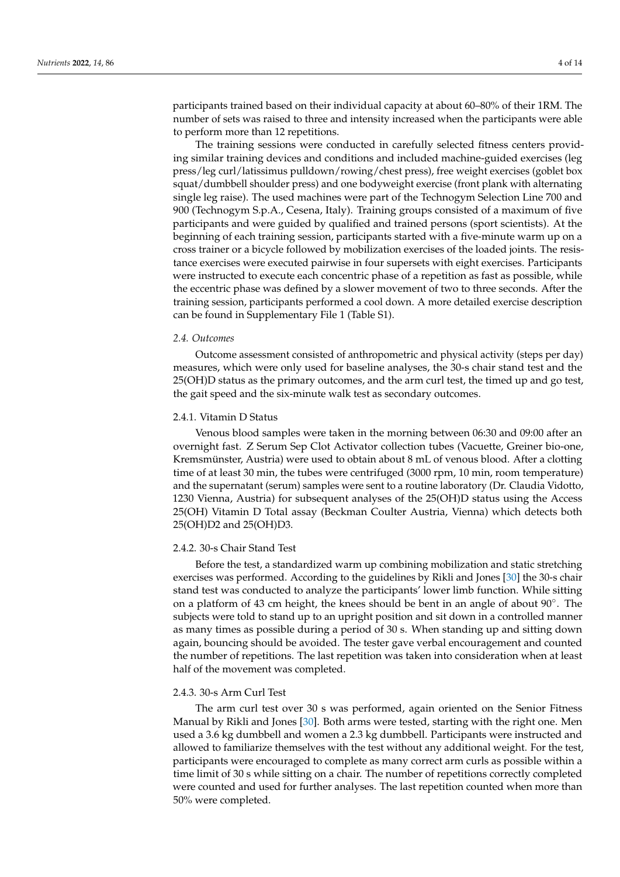participants trained based on their individual capacity at about 60–80% of their 1RM. The number of sets was raised to three and intensity increased when the participants were able to perform more than 12 repetitions.

The training sessions were conducted in carefully selected fitness centers providing similar training devices and conditions and included machine-guided exercises (leg press/leg curl/latissimus pulldown/rowing/chest press), free weight exercises (goblet box squat/dumbbell shoulder press) and one bodyweight exercise (front plank with alternating single leg raise). The used machines were part of the Technogym Selection Line 700 and 900 (Technogym S.p.A., Cesena, Italy). Training groups consisted of a maximum of five participants and were guided by qualified and trained persons (sport scientists). At the beginning of each training session, participants started with a five-minute warm up on a cross trainer or a bicycle followed by mobilization exercises of the loaded joints. The resistance exercises were executed pairwise in four supersets with eight exercises. Participants were instructed to execute each concentric phase of a repetition as fast as possible, while the eccentric phase was defined by a slower movement of two to three seconds. After the training session, participants performed a cool down. A more detailed exercise description can be found in Supplementary File 1 (Table S1).

#### *2.4. Outcomes*

Outcome assessment consisted of anthropometric and physical activity (steps per day) measures, which were only used for baseline analyses, the 30-s chair stand test and the 25(OH)D status as the primary outcomes, and the arm curl test, the timed up and go test, the gait speed and the six-minute walk test as secondary outcomes.

#### 2.4.1. Vitamin D Status

Venous blood samples were taken in the morning between 06:30 and 09:00 after an overnight fast. Z Serum Sep Clot Activator collection tubes (Vacuette, Greiner bio-one, Kremsmünster, Austria) were used to obtain about 8 mL of venous blood. After a clotting time of at least 30 min, the tubes were centrifuged (3000 rpm, 10 min, room temperature) and the supernatant (serum) samples were sent to a routine laboratory (Dr. Claudia Vidotto, 1230 Vienna, Austria) for subsequent analyses of the 25(OH)D status using the Access 25(OH) Vitamin D Total assay (Beckman Coulter Austria, Vienna) which detects both 25(OH)D2 and 25(OH)D3.

## 2.4.2. 30-s Chair Stand Test

Before the test, a standardized warm up combining mobilization and static stretching exercises was performed. According to the guidelines by Rikli and Jones [\[30\]](#page-12-14) the 30-s chair stand test was conducted to analyze the participants' lower limb function. While sitting on a platform of 43 cm height, the knees should be bent in an angle of about 90°. The subjects were told to stand up to an upright position and sit down in a controlled manner as many times as possible during a period of 30 s. When standing up and sitting down again, bouncing should be avoided. The tester gave verbal encouragement and counted the number of repetitions. The last repetition was taken into consideration when at least half of the movement was completed.

#### 2.4.3. 30-s Arm Curl Test

The arm curl test over 30 s was performed, again oriented on the Senior Fitness Manual by Rikli and Jones [\[30\]](#page-12-14). Both arms were tested, starting with the right one. Men used a 3.6 kg dumbbell and women a 2.3 kg dumbbell. Participants were instructed and allowed to familiarize themselves with the test without any additional weight. For the test, participants were encouraged to complete as many correct arm curls as possible within a time limit of 30 s while sitting on a chair. The number of repetitions correctly completed were counted and used for further analyses. The last repetition counted when more than 50% were completed.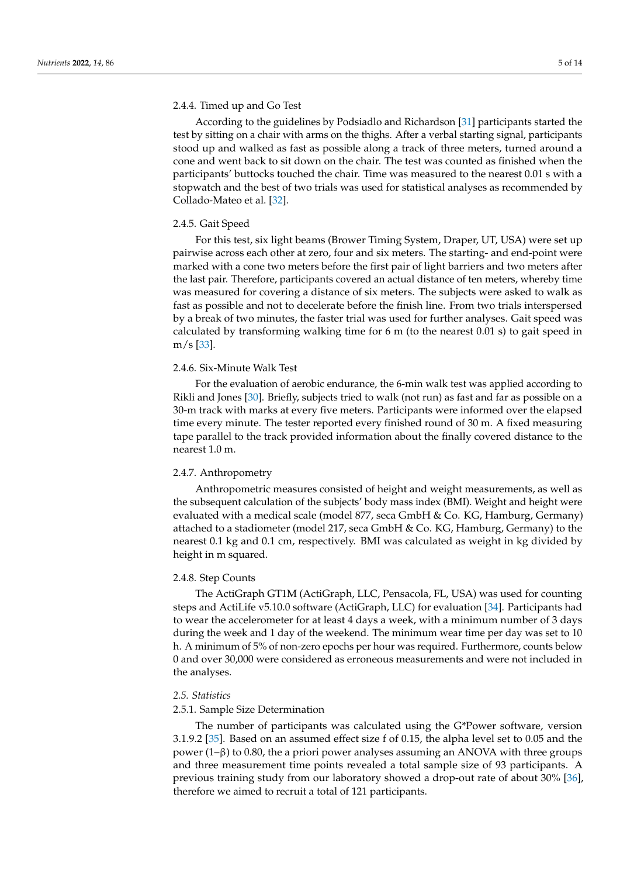## 2.4.4. Timed up and Go Test

According to the guidelines by Podsiadlo and Richardson [\[31\]](#page-12-15) participants started the test by sitting on a chair with arms on the thighs. After a verbal starting signal, participants stood up and walked as fast as possible along a track of three meters, turned around a cone and went back to sit down on the chair. The test was counted as finished when the participants' buttocks touched the chair. Time was measured to the nearest 0.01 s with a stopwatch and the best of two trials was used for statistical analyses as recommended by Collado-Mateo et al. [\[32\]](#page-12-16).

#### 2.4.5. Gait Speed

For this test, six light beams (Brower Timing System, Draper, UT, USA) were set up pairwise across each other at zero, four and six meters. The starting- and end-point were marked with a cone two meters before the first pair of light barriers and two meters after the last pair. Therefore, participants covered an actual distance of ten meters, whereby time was measured for covering a distance of six meters. The subjects were asked to walk as fast as possible and not to decelerate before the finish line. From two trials interspersed by a break of two minutes, the faster trial was used for further analyses. Gait speed was calculated by transforming walking time for 6 m (to the nearest 0.01 s) to gait speed in m/s [\[33\]](#page-12-17).

# 2.4.6. Six-Minute Walk Test

For the evaluation of aerobic endurance, the 6-min walk test was applied according to Rikli and Jones [\[30\]](#page-12-14). Briefly, subjects tried to walk (not run) as fast and far as possible on a 30-m track with marks at every five meters. Participants were informed over the elapsed time every minute. The tester reported every finished round of 30 m. A fixed measuring tape parallel to the track provided information about the finally covered distance to the nearest 1.0 m.

#### 2.4.7. Anthropometry

Anthropometric measures consisted of height and weight measurements, as well as the subsequent calculation of the subjects' body mass index (BMI). Weight and height were evaluated with a medical scale (model 877, seca GmbH & Co. KG, Hamburg, Germany) attached to a stadiometer (model 217, seca GmbH & Co. KG, Hamburg, Germany) to the nearest 0.1 kg and 0.1 cm, respectively. BMI was calculated as weight in kg divided by height in m squared.

#### 2.4.8. Step Counts

The ActiGraph GT1M (ActiGraph, LLC, Pensacola, FL, USA) was used for counting steps and ActiLife v5.10.0 software (ActiGraph, LLC) for evaluation [\[34\]](#page-12-18). Participants had to wear the accelerometer for at least 4 days a week, with a minimum number of 3 days during the week and 1 day of the weekend. The minimum wear time per day was set to 10 h. A minimum of 5% of non-zero epochs per hour was required. Furthermore, counts below 0 and over 30,000 were considered as erroneous measurements and were not included in the analyses.

#### *2.5. Statistics*

#### 2.5.1. Sample Size Determination

The number of participants was calculated using the G\*Power software, version 3.1.9.2 [\[35\]](#page-12-19). Based on an assumed effect size f of 0.15, the alpha level set to 0.05 and the power (1–β) to 0.80, the a priori power analyses assuming an ANOVA with three groups and three measurement time points revealed a total sample size of 93 participants. A previous training study from our laboratory showed a drop-out rate of about 30% [\[36\]](#page-12-20), therefore we aimed to recruit a total of 121 participants.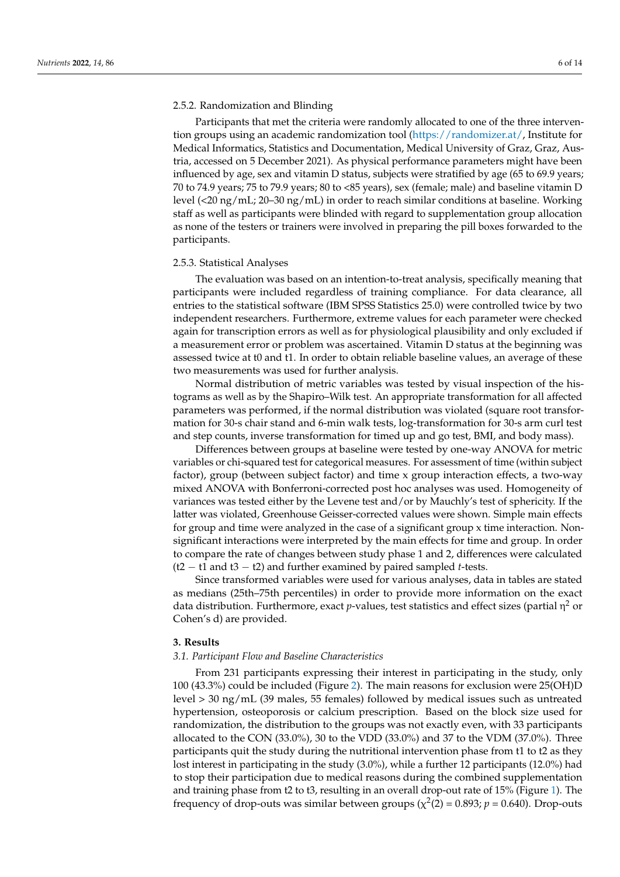#### 2.5.2. Randomization and Blinding

Participants that met the criteria were randomly allocated to one of the three intervention groups using an academic randomization tool [\(https://randomizer.at/,](https://randomizer.at/) Institute for Medical Informatics, Statistics and Documentation, Medical University of Graz, Graz, Austria, accessed on 5 December 2021). As physical performance parameters might have been influenced by age, sex and vitamin D status, subjects were stratified by age (65 to 69.9 years; 70 to 74.9 years; 75 to 79.9 years; 80 to <85 years), sex (female; male) and baseline vitamin D level (<20 ng/mL; 20–30 ng/mL) in order to reach similar conditions at baseline. Working staff as well as participants were blinded with regard to supplementation group allocation as none of the testers or trainers were involved in preparing the pill boxes forwarded to the participants.

#### 2.5.3. Statistical Analyses

The evaluation was based on an intention-to-treat analysis, specifically meaning that participants were included regardless of training compliance. For data clearance, all entries to the statistical software (IBM SPSS Statistics 25.0) were controlled twice by two independent researchers. Furthermore, extreme values for each parameter were checked again for transcription errors as well as for physiological plausibility and only excluded if a measurement error or problem was ascertained. Vitamin D status at the beginning was assessed twice at t0 and t1. In order to obtain reliable baseline values, an average of these two measurements was used for further analysis.

Normal distribution of metric variables was tested by visual inspection of the histograms as well as by the Shapiro–Wilk test. An appropriate transformation for all affected parameters was performed, if the normal distribution was violated (square root transformation for 30-s chair stand and 6-min walk tests, log-transformation for 30-s arm curl test and step counts, inverse transformation for timed up and go test, BMI, and body mass).

Differences between groups at baseline were tested by one-way ANOVA for metric variables or chi-squared test for categorical measures. For assessment of time (within subject factor), group (between subject factor) and time x group interaction effects, a two-way mixed ANOVA with Bonferroni-corrected post hoc analyses was used. Homogeneity of variances was tested either by the Levene test and/or by Mauchly's test of sphericity. If the latter was violated, Greenhouse Geisser-corrected values were shown. Simple main effects for group and time were analyzed in the case of a significant group x time interaction. Nonsignificant interactions were interpreted by the main effects for time and group. In order to compare the rate of changes between study phase 1 and 2, differences were calculated (t2 − t1 and t3 − t2) and further examined by paired sampled *t*-tests.

Since transformed variables were used for various analyses, data in tables are stated as medians (25th–75th percentiles) in order to provide more information on the exact data distribution. Furthermore, exact *p*-values, test statistics and effect sizes (partial η <sup>2</sup> or Cohen's d) are provided.

# **3. Results**

#### *3.1. Participant Flow and Baseline Characteristics*

From 231 participants expressing their interest in participating in the study, only 100 (43.3%) could be included (Figure [2\)](#page-6-0). The main reasons for exclusion were 25(OH)D level > 30 ng/mL (39 males, 55 females) followed by medical issues such as untreated hypertension, osteoporosis or calcium prescription. Based on the block size used for randomization, the distribution to the groups was not exactly even, with 33 participants allocated to the CON (33.0%), 30 to the VDD (33.0%) and 37 to the VDM (37.0%). Three participants quit the study during the nutritional intervention phase from t1 to t2 as they lost interest in participating in the study (3.0%), while a further 12 participants (12.0%) had to stop their participation due to medical reasons during the combined supplementation and training phase from t2 to t3, resulting in an overall drop-out rate of 15% (Figure [1\)](#page-1-0). The frequency of drop-outs was similar between groups ( $\chi^2(2) = 0.893; p = 0.640$ ). Drop-outs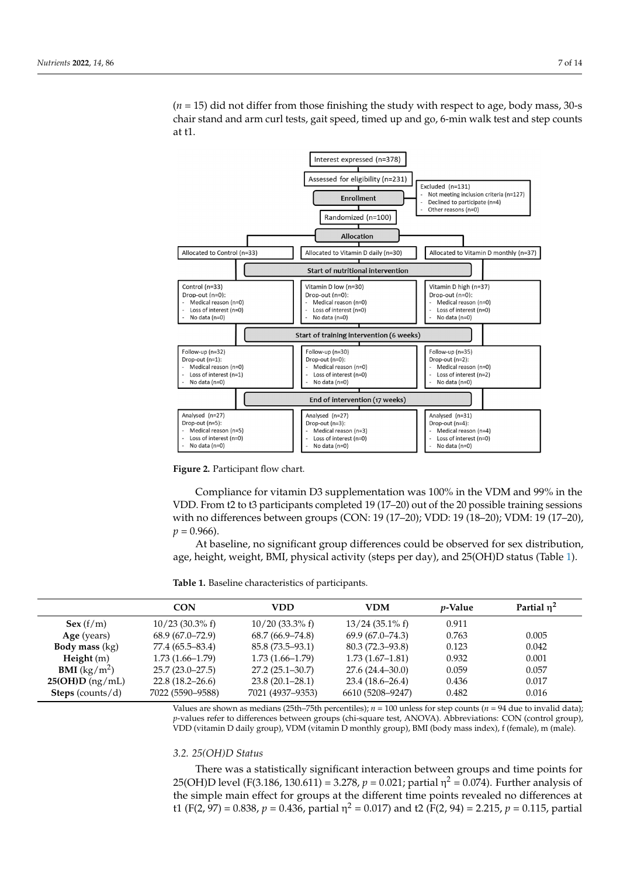$(n = 15)$  did not differ from those finishing the study with respect to age, body mass, 30-s chair stand and arm curl tests, gait speed, timed up and go, 6-min walk test and step counts at t1.

<span id="page-6-0"></span>

**Figure 2.** Participant flow chart. **Figure 2.** Participant flow chart.

<span id="page-6-1"></span>Compliance for vitamin D3 supplementation was 100% in the VDM and 99% in the VDD. From t2 to t3 participants completed 19 (17–20) out of the 20 possible training sessions **Table 1.** Baseline characteristics of participants. with no differences between groups (CON: 19 (17–20); VDD: 19 (18–20); VDM: 19 (17–20),  $p = 0.966$ .

*PARTIME PARTIAL CONDETERT CONDETERT CONDETERT CONDETERT AND AREA PARTIAL AREA PARTIAL AREA PARTIAL AREA PARTIAL AREA PARTIAL AREA PARTIAL AREA PARTIAL AREA PARTIAL AREA PARTIAL AREA PARTIAL AREA PARTIAL AREA PARTIAL AREA* **Sex 20.3** (30.3) **10.3** (33.3% f) 13/24 (33.3% f) 13/24 (33.3% f) 13/24 (33.3% f) At baseline, no significant group differences could be observed for sex distribution,

Table 1. Baseline characteristics of participants.

|                                | <b>CON</b>          | VDD                 | <b>VDM</b>          | <i>p</i> -Value | Partial $\eta^2$ |
|--------------------------------|---------------------|---------------------|---------------------|-----------------|------------------|
| Sex(f/m)                       | $10/23$ (30.3% f)   | $10/20$ (33.3% f)   | $13/24$ (35.1% f)   | 0.911           |                  |
| Age (years)                    | $68.9(67.0 - 72.9)$ | $68.7(66.9 - 74.8)$ | $69.9(67.0 - 74.3)$ | 0.763           | 0.005            |
| <b>Body mass</b> (kg)          | 77.4 (65.5–83.4)    | 85.8 (73.5–93.1)    | $80.3(72.3 - 93.8)$ | 0.123           | 0.042            |
| Height(m)                      | $1.73(1.66 - 1.79)$ | $1.73(1.66 - 1.79)$ | $1.73(1.67-1.81)$   | 0.932           | 0.001            |
| <b>BMI</b> ( $\text{kg/m}^2$ ) | $25.7(23.0-27.5)$   | $27.2(25.1 - 30.7)$ | $27.6(24.4 - 30.0)$ | 0.059           | 0.057            |
| 25(OH)D(ng/mL)                 | $22.8(18.2 - 26.6)$ | $23.8(20.1 - 28.1)$ | $23.4(18.6 - 26.4)$ | 0.436           | 0.017            |
| <b>Steps</b> (counts/d)        | 7022 (5590-9588)    | 7021 (4937–9353)    | 6610 (5208–9247)    | 0.482           | 0.016            |

*3. Values are shown as medians (25th–75th percentiles); <i>n* = 100 unless for step counts (*n* = 94 due to invalid data);<br>p-values refer to differences between groups (shi-square test, ANOVA), Abbreviations: CON (control g VDD (vitamin D daily group), VDM (vitamin D monthly group), BMI (body mass index), f (female), m (male). *p*-values refer to differences between groups (chi-square test, ANOVA). Abbreviations: CON (control group),

# the simple main effect for groups at the different time points revealed no differences at t1 *3.2. 25(OH)D Status*

There was a statistically significant interaction between groups and time points for 25(OH)D level (F(3.186, 130.611) = 3.278, *p* = 0.021; partial η<sup>2</sup> = 0.074). Further analysis of the simple main effect for groups at the different time points revealed no differences at t1 (F(2, 97) = 0.838,  $p = 0.436$ , partial  $\eta^2 = 0.017$ ) and t2 (F(2, 94) = 2.215,  $p = 0.115$ , partial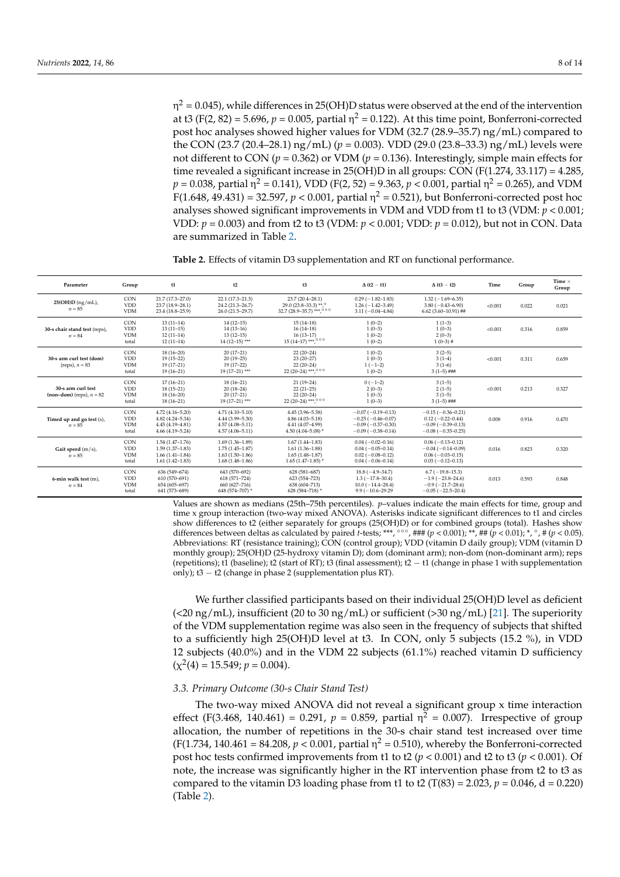η $^2$  = 0.045), while differences in 25(OH)D status were observed at the end of the intervention at t3 (F(2, 82) = 5.696,  $p = 0.005$ , partial  $\eta^2 = 0.122$ ). At this time point, Bonferroni-corrected post hoc analyses showed higher values for VDM (32.7 (28.9–35.7) ng/mL) compared to the CON (23.7 (20.4–28.1) ng/mL) (*p* = 0.003). VDD (29.0 (23.8–33.3) ng/mL) levels were not different to CON ( $p = 0.362$ ) or VDM ( $p = 0.136$ ). Interestingly, simple main effects for time revealed a significant increase in 25(OH)D in all groups: CON  $(F(1.274, 33.117) = 4.285$ ,  $p = 0.038$ , partial η<sup>2</sup> = 0.141), VDD (F(2, 52) = 9.363,  $p < 0.001$ , partial η<sup>2</sup> = 0.265), and VDM F(1.648, 49.431) = 32.597, *p* < 0.001, partial η <sup>2</sup> = 0.521), but Bonferroni-corrected post hoc analyses showed significant improvements in VDM and VDD from t1 to t3 (VDM: *p* < 0.001; VDD: *p* = 0.003) and from t2 to t3 (VDM: *p* < 0.001; VDD: *p* = 0.012), but not in CON. Data are summarized in Table [2.](#page-7-0)

<span id="page-7-0"></span>**Table 2.** Effects of vitamin D3 supplementation and RT on functional performance.

| Parameter                                        | Group                                           | t1                                                                                       | t2                                                                                   | t3                                                                                       | $\Delta$ (t2 - t1)                                                                       | $\Delta$ (t3 - t2)                                                                             | Time    | Group | Time $\times$<br>Group |
|--------------------------------------------------|-------------------------------------------------|------------------------------------------------------------------------------------------|--------------------------------------------------------------------------------------|------------------------------------------------------------------------------------------|------------------------------------------------------------------------------------------|------------------------------------------------------------------------------------------------|---------|-------|------------------------|
| 25(OH)D (ng/mL),<br>$n = 85$                     | <b>CON</b><br><b>VDD</b><br><b>VDM</b>          | 21.7 (17.3-27.0)<br>23.7 (18.9-28.1)<br>23.4 (18.8-25.9)                                 | 22.1 (17.3-21.3)<br>24.2 (21.3-26.7)<br>26.0 (21.5-29.7)                             | 23.7 (20.4-28.1)<br>29.0 (23.8-33.3) **, $^{\circ}$<br>32.7 (28.9-35.7) *** 000          | $0.29(-1.82-1.83)$<br>$1.26(-1.42-3.49)$<br>$3.11 (-0.04 - 4.84)$                        | $1.32(-1.69-6.35)$<br>$3.80(-0.43 - 6.90)$<br>$6.62$ (3.60-10.91) ##                           | < 0.001 | 0.022 | 0.021                  |
| 30-s chair stand test (reps),<br>$n = 84$        | <b>CON</b><br><b>VDD</b><br><b>VDM</b><br>total | $13(11-14)$<br>$13(11-15)$<br>$12(11-14)$<br>$12(11-14)$                                 | $14(12-15)$<br>$14(13-16)$<br>$13(12-15)$<br>$14(12-15)$ ***                         | $15(14-18)$<br>$16(14-18)$<br>$16(13-17)$<br>$15(14-17)$ ***,000                         | $1(0-2)$<br>$1(0-3)$<br>$1(0-2)$<br>$1(0-2)$                                             | $1(1-3)$<br>$1(0-3)$<br>$2(0-3)$<br>$1(0-3)$ #                                                 | < 0.001 | 0.316 | 0.859                  |
| 30-s arm curl test (dom)<br>(reps), $n = 83$     | <b>CON</b><br><b>VDD</b><br><b>VDM</b><br>total | $18(16 - 20)$<br>$19(15-22)$<br>$19(17-21)$<br>$19(16-21)$                               | $20(17-21)$<br>$20(19-25)$<br>$19(17-22)$<br>19 (17-21) ***                          | $22(20-24)$<br>$23(20-27)$<br>$22(20-24)$<br>22 (20-24) ***, 000                         | $1(0-2)$<br>$1(0-3)$<br>$1(-1-2)$<br>$1(0-2)$                                            | $3(2-5)$<br>$3(1-4)$<br>$3(1-6)$<br>$3(1-5)$ ###                                               | < 0.001 | 0.311 | 0.659                  |
| 30-s arm curl test<br>$(non-dom) (reps), n = 82$ | <b>CON</b><br><b>VDD</b><br><b>VDM</b><br>total | $17(16-21)$<br>$18(15-21)$<br>$18(16-20)$<br>$18(16-21)$                                 | $18(16-21)$<br>$20(18-24)$<br>$20(17-21)$<br>19 (17-21) ***                          | $21(19-24)$<br>$22(21-25)$<br>$22(20-24)$<br>22 (20-24) ***, 000                         | $0(-1-2)$<br>$2(0-3)$<br>$1(0-3)$<br>$1(0-3)$                                            | $3(1-5)$<br>$2(1-5)$<br>$3(1-5)$<br>$3(1-5)$ ###                                               | < 0.001 | 0.213 | 0.327                  |
| Timed up and go test (s),<br>$n = 85$            | CON<br><b>VDD</b><br><b>VDM</b><br>total        | $4.72(4.16 - 5.20)$<br>$4.82(4.24 - 5.34)$<br>$4.45(4.19 - 4.81)$<br>$4.66(4.19 - 5.24)$ | $4.71(4.10-5.10)$<br>4.44 (3.99-5.30)<br>$4.57(4.08 - 5.11)$<br>$4.57(4.06 - 5.11)$  | $4.45(3.96 - 5.38)$<br>$4.86(4.03 - 5.18)$<br>4.41 (4.07-4.99)<br>4.50 (4.04-5.08) *     | $-0.07(-0.19-0.13)$<br>$-0.25(-0.46-0.07)$<br>$-0.09(-0.37-0.30)$<br>$-0.09(-0.38-0.14)$ | $-0.15(-0.36-0.21)$<br>$0.12 (-0.22 - 0.44)$<br>$-0.09(-0.39-0.13)$<br>$-0.08(-0.35-0.25)$     | 0.008   | 0.916 | 0.470                  |
| Gait speed $(m/s)$ ,<br>$n = 85$                 | CON<br><b>VDD</b><br><b>VDM</b><br>total        | $1.54(1.47-1.76)$<br>$1.59(1.37-1.83)$<br>$1.66(1.41-1.84)$<br>$1.61(1.42 - 1.83)$       | $1.69(1.36 - 1.89)$<br>$1.75(1.45 - 1.87)$<br>$1.63(1.50-1.86)$<br>$1.68(1.48-1.86)$ | $1.67(1.44 - 1.83)$<br>$1.61(1.36 - 1.88)$<br>$1.65(1.48 - 1.87)$<br>$1.65(1.47-1.85)$ * | $0.04(-0.02-0.16)$<br>$0.04(-0.05-0.14)$<br>$0.02$ (-0.08-0.12)<br>$0.04(-0.06-0.14)$    | $0.06(-0.13-0.12)$<br>$-0.04(-0.14-0.09)$<br>$0.06(-0.03-0.15)$<br>$0.03(-0.12-0.13)$          | 0.016   | 0.823 | 0.320                  |
| 6-min walk test $(m)$ ,<br>$n = 84$              | <b>CON</b><br><b>VDD</b><br><b>VDM</b><br>total | 636 (549-674)<br>610 (570-691)<br>654 (605-697)<br>641 (573-689)                         | 643 (570-692)<br>618 (571-724)<br>660 (627-716)<br>648 (574-707) *                   | 628 (581-687)<br>623 (554-723)<br>638 (604-713)<br>628 (584-718) *                       | $18.8(-4.9-34.7)$<br>$1.3(-17.8-30.4)$<br>$10.0 (-14.4 - 28.4)$<br>$9.9(-10.6-29.29)$    | $6.7(-19.8-15.3)$<br>$-1.9(-23.8-24.6)$<br>$-0.9$ ( $-21.7-28.6$ )<br>$-0.05$ ( $-22.5-20.4$ ) | 0.013   | 0.593 | 0.848                  |

Values are shown as medians (25th–75th percentiles). *p*–values indicate the main effects for time, group and time x group interaction (two-way mixed ANOVA). Asterisks indicate significant differences to t1 and circles show differences to t2 (either separately for groups (25(OH)D) or for combined groups (total). Hashes show<br>differences between deltas as calculated by paired t-tests; \*\*\*, °°°, ### (p < 0.001); \*\*, ## (p < 0.01); \*, °, # Abbreviations: RT (resistance training); CON (control group); VDD (vitamin D daily group); VDM (vitamin D monthly group); 25(OH)D (25-hydroxy vitamin D); dom (dominant arm); non-dom (non-dominant arm); reps (repetitions); t1 (baseline); t2 (start of RT); t3 (final assessment); t2 − t1 (change in phase 1 with supplementation only); t3 − t2 (change in phase 2 (supplementation plus RT).

We further classified participants based on their individual 25(OH)D level as deficient  $\left($  <20 ng/mL), insufficient (20 to 30 ng/mL) or sufficient (>30 ng/mL) [\[21\]](#page-12-6). The superiority of the VDM supplementation regime was also seen in the frequency of subjects that shifted to a sufficiently high 25(OH)D level at t3. In CON, only 5 subjects (15.2 %), in VDD 12 subjects (40.0%) and in the VDM 22 subjects (61.1%) reached vitamin D sufficiency  $(\chi^2(4) = 15.549; p = 0.004).$ 

#### *3.3. Primary Outcome (30-s Chair Stand Test)*

The two-way mixed ANOVA did not reveal a significant group x time interaction effect (F(3.468, 140.461) = 0.291,  $p = 0.859$ , partial  $\eta^2 = 0.007$ ). Irrespective of group allocation, the number of repetitions in the 30-s chair stand test increased over time (F(1.734, 140.461 = 84.208,  $p < 0.001$ , partial  $\eta^2 = 0.510$ ), whereby the Bonferroni-corrected post hoc tests confirmed improvements from t1 to t2 (*p* < 0.001) and t2 to t3 (*p* < 0.001). Of note, the increase was significantly higher in the RT intervention phase from t2 to t3 as compared to the vitamin D3 loading phase from t1 to t2 (T(83) = 2.023,  $p = 0.046$ , d = 0.220) (Table [2\)](#page-7-0).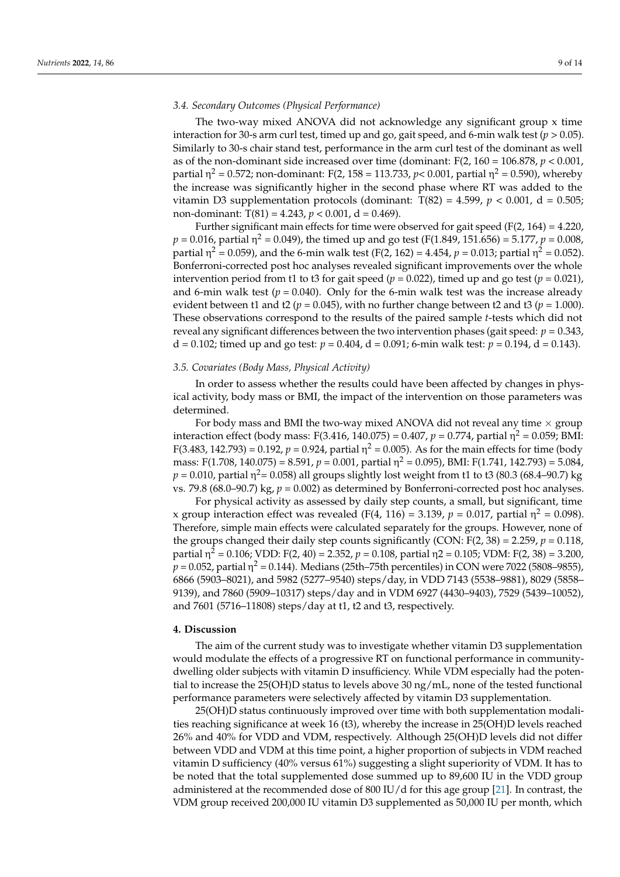#### *3.4. Secondary Outcomes (Physical Performance)*

The two-way mixed ANOVA did not acknowledge any significant group x time interaction for 30-s arm curl test, timed up and go, gait speed, and 6-min walk test ( $p > 0.05$ ). Similarly to 30-s chair stand test, performance in the arm curl test of the dominant as well as of the non-dominant side increased over time (dominant:  $F(2, 160 = 106.878, p < 0.001,$ partial η<sup>2</sup> = 0.572; non-dominant: F(2, 158 = 113.733, *p*< 0.001, partial η<sup>2</sup> = 0.590), whereby the increase was significantly higher in the second phase where RT was added to the vitamin D3 supplementation protocols (dominant:  $T(82) = 4.599$ ,  $p < 0.001$ ,  $d = 0.505$ ; non-dominant:  $T(81) = 4.243$ ,  $p < 0.001$ ,  $d = 0.469$ ).

Further significant main effects for time were observed for gait speed ( $F(2, 164) = 4.220$ ,  $p = 0.016$ , partial  $\eta^2 = 0.049$ ), the timed up and go test (F(1.849, 151.656) = 5.177,  $p = 0.008$ , partial η<sup>2</sup> = 0.059), and the 6-min walk test (F(2, 162) = 4.454, *p* = 0.013; partial η<sup>2</sup> = 0.052). Bonferroni-corrected post hoc analyses revealed significant improvements over the whole intervention period from t1 to t3 for gait speed ( $p = 0.022$ ), timed up and go test ( $p = 0.021$ ), and 6-min walk test  $(p = 0.040)$ . Only for the 6-min walk test was the increase already evident between t1 and t2 ( $p = 0.045$ ), with no further change between t2 and t3 ( $p = 1.000$ ). These observations correspond to the results of the paired sample *t*-tests which did not reveal any significant differences between the two intervention phases (gait speed: *p* = 0.343, d = 0.102; timed up and go test:  $p = 0.404$ , d = 0.091; 6-min walk test:  $p = 0.194$ , d = 0.143).

#### *3.5. Covariates (Body Mass, Physical Activity)*

In order to assess whether the results could have been affected by changes in physical activity, body mass or BMI, the impact of the intervention on those parameters was determined.

For body mass and BMI the two-way mixed ANOVA did not reveal any time  $\times$  group interaction effect (body mass: F(3.416, 140.075) = 0.407,  $p$  = 0.774, partial  $\eta^2$  = 0.059; BMI: F(3.483, 142.793) = 0.192, *p* = 0.924, partial η<sup>2</sup> = 0.005). As for the main effects for time (body mass: F(1.708, 140.075) = 8.591, *p* = 0.001, partial η <sup>2</sup> = 0.095), BMI: F(1.741, 142.793) = 5.084,  $p = 0.010$ , partial  $\eta^2$ = 0.058) all groups slightly lost weight from t1 to t3 (80.3 (68.4–90.7) kg vs. 79.8 (68.0–90.7) kg,  $p = 0.002$ ) as determined by Bonferroni-corrected post hoc analyses.

For physical activity as assessed by daily step counts, a small, but significant, time x group interaction effect was revealed (F(4, 116) = 3.139,  $p = 0.017$ , partial  $\eta^2 = 0.098$ ). Therefore, simple main effects were calculated separately for the groups. However, none of the groups changed their daily step counts significantly (CON:  $F(2, 38) = 2.259$ ,  $p = 0.118$ , partial η <sup>2</sup> = 0.106; VDD: F(2, 40) = 2.352, *p* = 0.108, partial η2 = 0.105; VDM: F(2, 38) = 3.200,  $p$  = 0.052, partial  $\eta^2$  = 0.144). Medians (25th–75th percentiles) in CON were 7022 (5808–9855), 6866 (5903–8021), and 5982 (5277–9540) steps/day, in VDD 7143 (5538–9881), 8029 (5858– 9139), and 7860 (5909–10317) steps/day and in VDM 6927 (4430–9403), 7529 (5439–10052), and 7601 (5716–11808) steps/day at t1, t2 and t3, respectively.

#### **4. Discussion**

The aim of the current study was to investigate whether vitamin D3 supplementation would modulate the effects of a progressive RT on functional performance in communitydwelling older subjects with vitamin D insufficiency. While VDM especially had the potential to increase the 25(OH)D status to levels above 30 ng/mL, none of the tested functional performance parameters were selectively affected by vitamin D3 supplementation.

25(OH)D status continuously improved over time with both supplementation modalities reaching significance at week 16 (t3), whereby the increase in 25(OH)D levels reached 26% and 40% for VDD and VDM, respectively. Although 25(OH)D levels did not differ between VDD and VDM at this time point, a higher proportion of subjects in VDM reached vitamin D sufficiency (40% versus 61%) suggesting a slight superiority of VDM. It has to be noted that the total supplemented dose summed up to 89,600 IU in the VDD group administered at the recommended dose of 800 IU/d for this age group [\[21\]](#page-12-6). In contrast, the VDM group received 200,000 IU vitamin D3 supplemented as 50,000 IU per month, which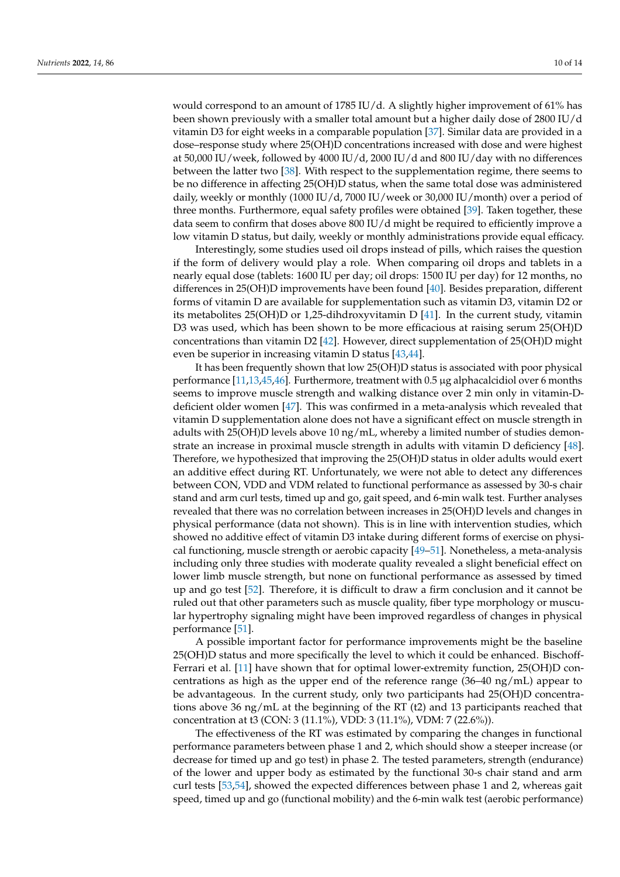would correspond to an amount of 1785 IU/d. A slightly higher improvement of 61% has been shown previously with a smaller total amount but a higher daily dose of 2800 IU/d vitamin D3 for eight weeks in a comparable population [\[37\]](#page-13-0). Similar data are provided in a dose–response study where 25(OH)D concentrations increased with dose and were highest at 50,000 IU/week, followed by 4000 IU/d, 2000 IU/d and 800 IU/day with no differences between the latter two [\[38\]](#page-13-1). With respect to the supplementation regime, there seems to be no difference in affecting 25(OH)D status, when the same total dose was administered daily, weekly or monthly (1000 IU/d, 7000 IU/week or 30,000 IU/month) over a period of three months. Furthermore, equal safety profiles were obtained [\[39\]](#page-13-2). Taken together, these data seem to confirm that doses above 800 IU/d might be required to efficiently improve a low vitamin D status, but daily, weekly or monthly administrations provide equal efficacy.

Interestingly, some studies used oil drops instead of pills, which raises the question if the form of delivery would play a role. When comparing oil drops and tablets in a nearly equal dose (tablets: 1600 IU per day; oil drops: 1500 IU per day) for 12 months, no differences in 25(OH)D improvements have been found [\[40\]](#page-13-3). Besides preparation, different forms of vitamin D are available for supplementation such as vitamin D3, vitamin D2 or its metabolites 25(OH)D or 1,25-dihdroxyvitamin D [\[41\]](#page-13-4). In the current study, vitamin D3 was used, which has been shown to be more efficacious at raising serum 25(OH)D concentrations than vitamin D2 [\[42\]](#page-13-5). However, direct supplementation of 25(OH)D might even be superior in increasing vitamin D status [\[43,](#page-13-6)[44\]](#page-13-7).

It has been frequently shown that low 25(OH)D status is associated with poor physical performance [\[11](#page-11-9)[,13](#page-12-0)[,45,](#page-13-8)[46\]](#page-13-9). Furthermore, treatment with 0.5 µg alphacalcidiol over 6 months seems to improve muscle strength and walking distance over 2 min only in vitamin-Ddeficient older women [\[47\]](#page-13-10). This was confirmed in a meta-analysis which revealed that vitamin D supplementation alone does not have a significant effect on muscle strength in adults with 25(OH)D levels above 10 ng/mL, whereby a limited number of studies demonstrate an increase in proximal muscle strength in adults with vitamin D deficiency [\[48\]](#page-13-11). Therefore, we hypothesized that improving the 25(OH)D status in older adults would exert an additive effect during RT. Unfortunately, we were not able to detect any differences between CON, VDD and VDM related to functional performance as assessed by 30-s chair stand and arm curl tests, timed up and go, gait speed, and 6-min walk test. Further analyses revealed that there was no correlation between increases in 25(OH)D levels and changes in physical performance (data not shown). This is in line with intervention studies, which showed no additive effect of vitamin D3 intake during different forms of exercise on physical functioning, muscle strength or aerobic capacity [\[49](#page-13-12)[–51\]](#page-13-13). Nonetheless, a meta-analysis including only three studies with moderate quality revealed a slight beneficial effect on lower limb muscle strength, but none on functional performance as assessed by timed up and go test [\[52\]](#page-13-14). Therefore, it is difficult to draw a firm conclusion and it cannot be ruled out that other parameters such as muscle quality, fiber type morphology or muscular hypertrophy signaling might have been improved regardless of changes in physical performance [\[51\]](#page-13-13).

A possible important factor for performance improvements might be the baseline 25(OH)D status and more specifically the level to which it could be enhanced. Bischoff-Ferrari et al. [\[11\]](#page-11-9) have shown that for optimal lower-extremity function, 25(OH)D concentrations as high as the upper end of the reference range (36–40 ng/mL) appear to be advantageous. In the current study, only two participants had 25(OH)D concentrations above 36 ng/mL at the beginning of the RT (t2) and 13 participants reached that concentration at t3 (CON: 3 (11.1%), VDD: 3 (11.1%), VDM: 7 (22.6%)).

The effectiveness of the RT was estimated by comparing the changes in functional performance parameters between phase 1 and 2, which should show a steeper increase (or decrease for timed up and go test) in phase 2. The tested parameters, strength (endurance) of the lower and upper body as estimated by the functional 30-s chair stand and arm curl tests [\[53,](#page-13-15)[54\]](#page-13-16), showed the expected differences between phase 1 and 2, whereas gait speed, timed up and go (functional mobility) and the 6-min walk test (aerobic performance)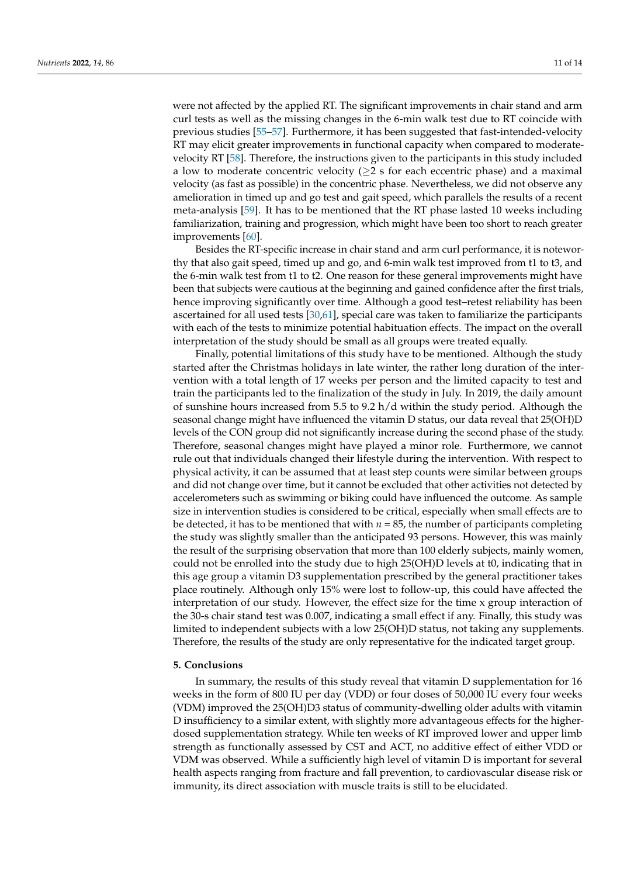were not affected by the applied RT. The significant improvements in chair stand and arm curl tests as well as the missing changes in the 6-min walk test due to RT coincide with previous studies [\[55](#page-13-17)[–57\]](#page-13-18). Furthermore, it has been suggested that fast-intended-velocity RT may elicit greater improvements in functional capacity when compared to moderatevelocity RT [\[58\]](#page-13-19). Therefore, the instructions given to the participants in this study included a low to moderate concentric velocity ( $\geq 2$  s for each eccentric phase) and a maximal velocity (as fast as possible) in the concentric phase. Nevertheless, we did not observe any amelioration in timed up and go test and gait speed, which parallels the results of a recent meta-analysis [\[59\]](#page-13-20). It has to be mentioned that the RT phase lasted 10 weeks including familiarization, training and progression, which might have been too short to reach greater improvements [\[60\]](#page-13-21).

Besides the RT-specific increase in chair stand and arm curl performance, it is noteworthy that also gait speed, timed up and go, and 6-min walk test improved from t1 to t3, and the 6-min walk test from t1 to t2. One reason for these general improvements might have been that subjects were cautious at the beginning and gained confidence after the first trials, hence improving significantly over time. Although a good test–retest reliability has been ascertained for all used tests [\[30](#page-12-14)[,61\]](#page-13-22), special care was taken to familiarize the participants with each of the tests to minimize potential habituation effects. The impact on the overall interpretation of the study should be small as all groups were treated equally.

Finally, potential limitations of this study have to be mentioned. Although the study started after the Christmas holidays in late winter, the rather long duration of the intervention with a total length of 17 weeks per person and the limited capacity to test and train the participants led to the finalization of the study in July. In 2019, the daily amount of sunshine hours increased from 5.5 to 9.2 h/d within the study period. Although the seasonal change might have influenced the vitamin D status, our data reveal that 25(OH)D levels of the CON group did not significantly increase during the second phase of the study. Therefore, seasonal changes might have played a minor role. Furthermore, we cannot rule out that individuals changed their lifestyle during the intervention. With respect to physical activity, it can be assumed that at least step counts were similar between groups and did not change over time, but it cannot be excluded that other activities not detected by accelerometers such as swimming or biking could have influenced the outcome. As sample size in intervention studies is considered to be critical, especially when small effects are to be detected, it has to be mentioned that with  $n = 85$ , the number of participants completing the study was slightly smaller than the anticipated 93 persons. However, this was mainly the result of the surprising observation that more than 100 elderly subjects, mainly women, could not be enrolled into the study due to high 25(OH)D levels at t0, indicating that in this age group a vitamin D3 supplementation prescribed by the general practitioner takes place routinely. Although only 15% were lost to follow-up, this could have affected the interpretation of our study. However, the effect size for the time x group interaction of the 30-s chair stand test was 0.007, indicating a small effect if any. Finally, this study was limited to independent subjects with a low 25(OH)D status, not taking any supplements. Therefore, the results of the study are only representative for the indicated target group.

#### **5. Conclusions**

In summary, the results of this study reveal that vitamin D supplementation for 16 weeks in the form of 800 IU per day (VDD) or four doses of 50,000 IU every four weeks (VDM) improved the 25(OH)D3 status of community-dwelling older adults with vitamin D insufficiency to a similar extent, with slightly more advantageous effects for the higherdosed supplementation strategy. While ten weeks of RT improved lower and upper limb strength as functionally assessed by CST and ACT, no additive effect of either VDD or VDM was observed. While a sufficiently high level of vitamin D is important for several health aspects ranging from fracture and fall prevention, to cardiovascular disease risk or immunity, its direct association with muscle traits is still to be elucidated.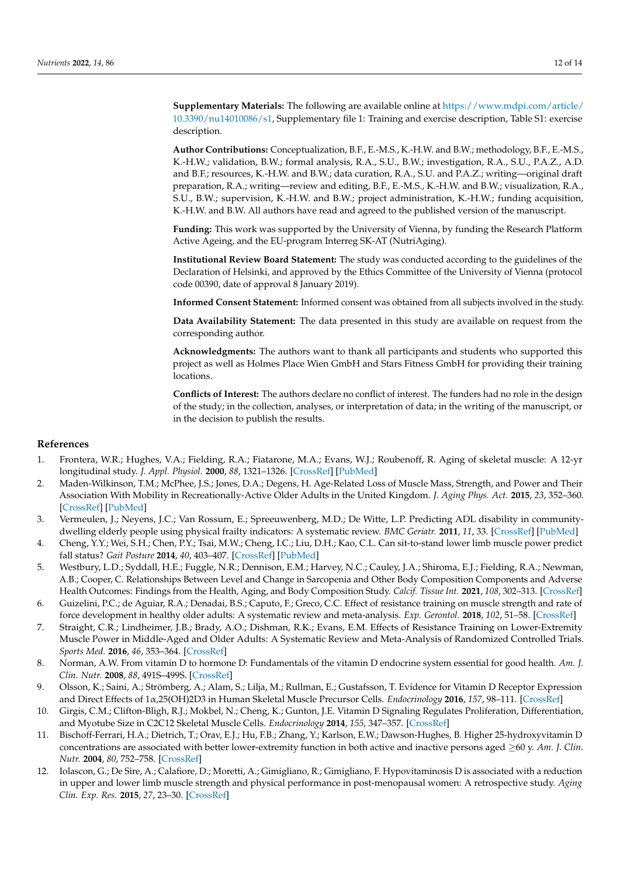**Supplementary Materials:** The following are available online at [https://www.mdpi.com/article/](https://www.mdpi.com/article/10.3390/nu14010086/s1) [10.3390/nu14010086/s1,](https://www.mdpi.com/article/10.3390/nu14010086/s1) Supplementary file 1: Training and exercise description, Table S1: exercise description.

**Author Contributions:** Conceptualization, B.F., E.-M.S., K.-H.W. and B.W.; methodology, B.F., E.-M.S., K.-H.W.; validation, B.W.; formal analysis, R.A., S.U., B.W.; investigation, R.A., S.U., P.A.Z., A.D. and B.F.; resources, K.-H.W. and B.W.; data curation, R.A., S.U. and P.A.Z.; writing—original draft preparation, R.A.; writing—review and editing, B.F., E.-M.S., K.-H.W. and B.W.; visualization, R.A., S.U., B.W.; supervision, K.-H.W. and B.W.; project administration, K.-H.W.; funding acquisition, K.-H.W. and B.W. All authors have read and agreed to the published version of the manuscript.

**Funding:** This work was supported by the University of Vienna, by funding the Research Platform Active Ageing, and the EU-program Interreg SK-AT (NutriAging).

**Institutional Review Board Statement:** The study was conducted according to the guidelines of the Declaration of Helsinki, and approved by the Ethics Committee of the University of Vienna (protocol code 00390, date of approval 8 January 2019).

**Informed Consent Statement:** Informed consent was obtained from all subjects involved in the study.

**Data Availability Statement:** The data presented in this study are available on request from the corresponding author.

**Acknowledgments:** The authors want to thank all participants and students who supported this project as well as Holmes Place Wien GmbH and Stars Fitness GmbH for providing their training locations.

**Conflicts of Interest:** The authors declare no conflict of interest. The funders had no role in the design of the study; in the collection, analyses, or interpretation of data; in the writing of the manuscript, or in the decision to publish the results.

#### **References**

- <span id="page-11-0"></span>1. Frontera, W.R.; Hughes, V.A.; Fielding, R.A.; Fiatarone, M.A.; Evans, W.J.; Roubenoff, R. Aging of skeletal muscle: A 12-yr longitudinal study. *J. Appl. Physiol.* **2000**, *88*, 1321–1326. [\[CrossRef\]](http://doi.org/10.1152/jappl.2000.88.4.1321) [\[PubMed\]](http://www.ncbi.nlm.nih.gov/pubmed/10749826)
- <span id="page-11-1"></span>2. Maden-Wilkinson, T.M.; McPhee, J.S.; Jones, D.A.; Degens, H. Age-Related Loss of Muscle Mass, Strength, and Power and Their Association With Mobility in Recreationally-Active Older Adults in the United Kingdom. *J. Aging Phys. Act.* **2015**, *23*, 352–360. [\[CrossRef\]](http://doi.org/10.1123/japa.2013-0219) [\[PubMed\]](http://www.ncbi.nlm.nih.gov/pubmed/25007824)
- <span id="page-11-2"></span>3. Vermeulen, J.; Neyens, J.C.; Van Rossum, E.; Spreeuwenberg, M.D.; De Witte, L.P. Predicting ADL disability in communitydwelling elderly people using physical frailty indicators: A systematic review. *BMC Geriatr.* **2011**, *11*, 33. [\[CrossRef\]](http://doi.org/10.1186/1471-2318-11-33) [\[PubMed\]](http://www.ncbi.nlm.nih.gov/pubmed/21722355)
- 4. Cheng, Y.Y.; Wei, S.H.; Chen, P.Y.; Tsai, M.W.; Cheng, I.C.; Liu, D.H.; Kao, C.L. Can sit-to-stand lower limb muscle power predict fall status? *Gait Posture* **2014**, *40*, 403–407. [\[CrossRef\]](http://doi.org/10.1016/j.gaitpost.2014.05.064) [\[PubMed\]](http://www.ncbi.nlm.nih.gov/pubmed/24974126)
- <span id="page-11-3"></span>5. Westbury, L.D.; Syddall, H.E.; Fuggle, N.R.; Dennison, E.M.; Harvey, N.C.; Cauley, J.A.; Shiroma, E.J.; Fielding, R.A.; Newman, A.B.; Cooper, C. Relationships Between Level and Change in Sarcopenia and Other Body Composition Components and Adverse Health Outcomes: Findings from the Health, Aging, and Body Composition Study. *Calcif. Tissue Int.* **2021**, *108*, 302–313. [\[CrossRef\]](http://doi.org/10.1007/s00223-020-00775-3)
- <span id="page-11-4"></span>6. Guizelini, P.C.; de Aguiar, R.A.; Denadai, B.S.; Caputo, F.; Greco, C.C. Effect of resistance training on muscle strength and rate of force development in healthy older adults: A systematic review and meta-analysis. *Exp. Gerontol.* **2018**, *102*, 51–58. [\[CrossRef\]](http://doi.org/10.1016/j.exger.2017.11.020)
- <span id="page-11-5"></span>7. Straight, C.R.; Lindheimer, J.B.; Brady, A.O.; Dishman, R.K.; Evans, E.M. Effects of Resistance Training on Lower-Extremity Muscle Power in Middle-Aged and Older Adults: A Systematic Review and Meta-Analysis of Randomized Controlled Trials. *Sports Med.* **2016**, *46*, 353–364. [\[CrossRef\]](http://doi.org/10.1007/s40279-015-0418-4)
- <span id="page-11-6"></span>8. Norman, A.W. From vitamin D to hormone D: Fundamentals of the vitamin D endocrine system essential for good health. *Am. J. Clin. Nutr.* **2008**, *88*, 491S–499S. [\[CrossRef\]](http://doi.org/10.1093/ajcn/88.2.491S)
- <span id="page-11-7"></span>9. Olsson, K.; Saini, A.; Strömberg, A.; Alam, S.; Lilja, M.; Rullman, E.; Gustafsson, T. Evidence for Vitamin D Receptor Expression and Direct Effects of 1α,25(OH)2D3 in Human Skeletal Muscle Precursor Cells. *Endocrinology* **2016**, *157*, 98–111. [\[CrossRef\]](http://doi.org/10.1210/en.2015-1685)
- <span id="page-11-8"></span>10. Girgis, C.M.; Clifton-Bligh, R.J.; Mokbel, N.; Cheng, K.; Gunton, J.E. Vitamin D Signaling Regulates Proliferation, Differentiation, and Myotube Size in C2C12 Skeletal Muscle Cells. *Endocrinology* **2014**, *155*, 347–357. [\[CrossRef\]](http://doi.org/10.1210/en.2013-1205)
- <span id="page-11-9"></span>11. Bischoff-Ferrari, H.A.; Dietrich, T.; Orav, E.J.; Hu, F.B.; Zhang, Y.; Karlson, E.W.; Dawson-Hughes, B. Higher 25-hydroxyvitamin D concentrations are associated with better lower-extremity function in both active and inactive persons aged ≥60 y. *Am. J. Clin. Nutr.* **2004**, *80*, 752–758. [\[CrossRef\]](http://doi.org/10.1093/ajcn/80.3.752)
- 12. Iolascon, G.; De Sire, A.; Calafiore, D.; Moretti, A.; Gimigliano, R.; Gimigliano, F. Hypovitaminosis D is associated with a reduction in upper and lower limb muscle strength and physical performance in post-menopausal women: A retrospective study. *Aging Clin. Exp. Res.* **2015**, *27*, 23–30. [\[CrossRef\]](http://doi.org/10.1007/s40520-015-0405-5)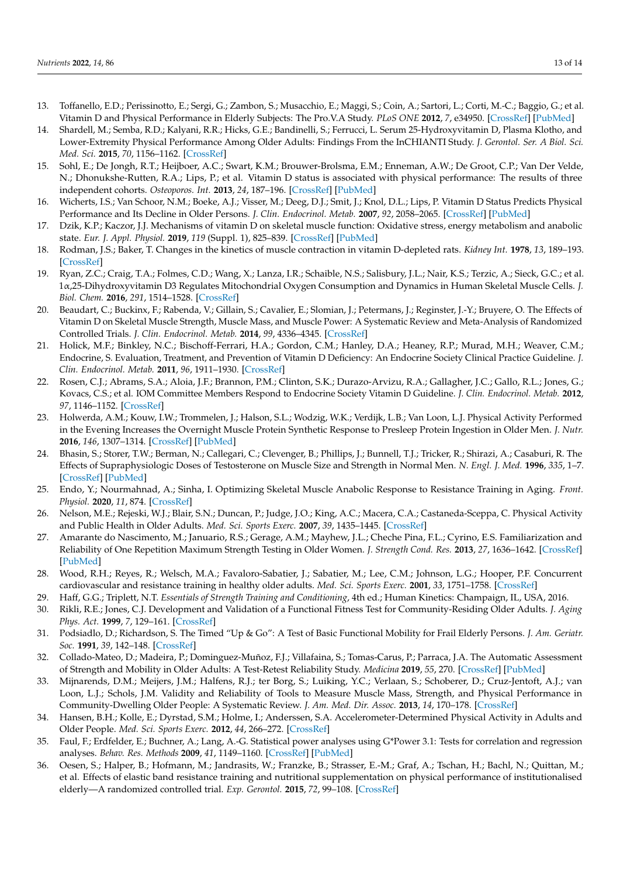- <span id="page-12-0"></span>13. Toffanello, E.D.; Perissinotto, E.; Sergi, G.; Zambon, S.; Musacchio, E.; Maggi, S.; Coin, A.; Sartori, L.; Corti, M.-C.; Baggio, G.; et al. Vitamin D and Physical Performance in Elderly Subjects: The Pro.V.A Study. *PLoS ONE* **2012**, *7*, e34950. [\[CrossRef\]](http://doi.org/10.1371/journal.pone.0034950) [\[PubMed\]](http://www.ncbi.nlm.nih.gov/pubmed/22539952)
- <span id="page-12-1"></span>14. Shardell, M.; Semba, R.D.; Kalyani, R.R.; Hicks, G.E.; Bandinelli, S.; Ferrucci, L. Serum 25-Hydroxyvitamin D, Plasma Klotho, and Lower-Extremity Physical Performance Among Older Adults: Findings From the InCHIANTI Study. *J. Gerontol. Ser. A Biol. Sci. Med. Sci.* **2015**, *70*, 1156–1162. [\[CrossRef\]](http://doi.org/10.1093/gerona/glv017)
- 15. Sohl, E.; De Jongh, R.T.; Heijboer, A.C.; Swart, K.M.; Brouwer-Brolsma, E.M.; Enneman, A.W.; De Groot, C.P.; Van Der Velde, N.; Dhonukshe-Rutten, R.A.; Lips, P.; et al. Vitamin D status is associated with physical performance: The results of three independent cohorts. *Osteoporos. Int.* **2013**, *24*, 187–196. [\[CrossRef\]](http://doi.org/10.1007/s00198-012-2124-5) [\[PubMed\]](http://www.ncbi.nlm.nih.gov/pubmed/22961566)
- <span id="page-12-2"></span>16. Wicherts, I.S.; Van Schoor, N.M.; Boeke, A.J.; Visser, M.; Deeg, D.J.; Smit, J.; Knol, D.L.; Lips, P. Vitamin D Status Predicts Physical Performance and Its Decline in Older Persons. *J. Clin. Endocrinol. Metab.* **2007**, *92*, 2058–2065. [\[CrossRef\]](http://doi.org/10.1210/jc.2006-1525) [\[PubMed\]](http://www.ncbi.nlm.nih.gov/pubmed/17341569)
- <span id="page-12-3"></span>17. Dzik, K.P.; Kaczor, J.J. Mechanisms of vitamin D on skeletal muscle function: Oxidative stress, energy metabolism and anabolic state. *Eur. J. Appl. Physiol.* **2019**, *119* (Suppl. 1), 825–839. [\[CrossRef\]](http://doi.org/10.1007/s00421-019-04104-x) [\[PubMed\]](http://www.ncbi.nlm.nih.gov/pubmed/30830277)
- 18. Rodman, J.S.; Baker, T. Changes in the kinetics of muscle contraction in vitamin D-depleted rats. *Kidney Int.* **1978**, *13*, 189–193. [\[CrossRef\]](http://doi.org/10.1038/ki.1978.28)
- <span id="page-12-4"></span>19. Ryan, Z.C.; Craig, T.A.; Folmes, C.D.; Wang, X.; Lanza, I.R.; Schaible, N.S.; Salisbury, J.L.; Nair, K.S.; Terzic, A.; Sieck, G.C.; et al. 1α,25-Dihydroxyvitamin D3 Regulates Mitochondrial Oxygen Consumption and Dynamics in Human Skeletal Muscle Cells. *J. Biol. Chem.* **2016**, *291*, 1514–1528. [\[CrossRef\]](http://doi.org/10.1074/jbc.M115.684399)
- <span id="page-12-5"></span>20. Beaudart, C.; Buckinx, F.; Rabenda, V.; Gillain, S.; Cavalier, E.; Slomian, J.; Petermans, J.; Reginster, J.-Y.; Bruyere, O. The Effects of Vitamin D on Skeletal Muscle Strength, Muscle Mass, and Muscle Power: A Systematic Review and Meta-Analysis of Randomized Controlled Trials. *J. Clin. Endocrinol. Metab.* **2014**, *99*, 4336–4345. [\[CrossRef\]](http://doi.org/10.1210/jc.2014-1742)
- <span id="page-12-6"></span>21. Holick, M.F.; Binkley, N.C.; Bischoff-Ferrari, H.A.; Gordon, C.M.; Hanley, D.A.; Heaney, R.P.; Murad, M.H.; Weaver, C.M.; Endocrine, S. Evaluation, Treatment, and Prevention of Vitamin D Deficiency: An Endocrine Society Clinical Practice Guideline. *J. Clin. Endocrinol. Metab.* **2011**, *96*, 1911–1930. [\[CrossRef\]](http://doi.org/10.1210/jc.2011-0385)
- <span id="page-12-7"></span>22. Rosen, C.J.; Abrams, S.A.; Aloia, J.F.; Brannon, P.M.; Clinton, S.K.; Durazo-Arvizu, R.A.; Gallagher, J.C.; Gallo, R.L.; Jones, G.; Kovacs, C.S.; et al. IOM Committee Members Respond to Endocrine Society Vitamin D Guideline. *J. Clin. Endocrinol. Metab.* **2012**, *97*, 1146–1152. [\[CrossRef\]](http://doi.org/10.1210/jc.2011-2218)
- <span id="page-12-8"></span>23. Holwerda, A.M.; Kouw, I.W.; Trommelen, J.; Halson, S.L.; Wodzig, W.K.; Verdijk, L.B.; Van Loon, L.J. Physical Activity Performed in the Evening Increases the Overnight Muscle Protein Synthetic Response to Presleep Protein Ingestion in Older Men. *J. Nutr.* **2016**, *146*, 1307–1314. [\[CrossRef\]](http://doi.org/10.3945/jn.116.230086) [\[PubMed\]](http://www.ncbi.nlm.nih.gov/pubmed/27281811)
- 24. Bhasin, S.; Storer, T.W.; Berman, N.; Callegari, C.; Clevenger, B.; Phillips, J.; Bunnell, T.J.; Tricker, R.; Shirazi, A.; Casaburi, R. The Effects of Supraphysiologic Doses of Testosterone on Muscle Size and Strength in Normal Men. *N. Engl. J. Med.* **1996**, *335*, 1–7. [\[CrossRef\]](http://doi.org/10.1056/NEJM199607043350101) [\[PubMed\]](http://www.ncbi.nlm.nih.gov/pubmed/8637535)
- <span id="page-12-9"></span>25. Endo, Y.; Nourmahnad, A.; Sinha, I. Optimizing Skeletal Muscle Anabolic Response to Resistance Training in Aging. *Front. Physiol.* **2020**, *11*, 874. [\[CrossRef\]](http://doi.org/10.3389/fphys.2020.00874)
- <span id="page-12-10"></span>26. Nelson, M.E.; Rejeski, W.J.; Blair, S.N.; Duncan, P.; Judge, J.O.; King, A.C.; Macera, C.A.; Castaneda-Sceppa, C. Physical Activity and Public Health in Older Adults. *Med. Sci. Sports Exerc.* **2007**, *39*, 1435–1445. [\[CrossRef\]](http://doi.org/10.1249/mss.0b013e3180616aa2)
- <span id="page-12-11"></span>27. Amarante do Nascimento, M.; Januario, R.S.; Gerage, A.M.; Mayhew, J.L.; Cheche Pina, F.L.; Cyrino, E.S. Familiarization and Reliability of One Repetition Maximum Strength Testing in Older Women. *J. Strength Cond. Res.* **2013**, *27*, 1636–1642. [\[CrossRef\]](http://doi.org/10.1519/JSC.0b013e3182717318) [\[PubMed\]](http://www.ncbi.nlm.nih.gov/pubmed/22990569)
- <span id="page-12-12"></span>28. Wood, R.H.; Reyes, R.; Welsch, M.A.; Favaloro-Sabatier, J.; Sabatier, M.; Lee, C.M.; Johnson, L.G.; Hooper, P.F. Concurrent cardiovascular and resistance training in healthy older adults. *Med. Sci. Sports Exerc.* **2001**, *33*, 1751–1758. [\[CrossRef\]](http://doi.org/10.1097/00005768-200110000-00021)
- <span id="page-12-13"></span>29. Haff, G.G.; Triplett, N.T. *Essentials of Strength Training and Conditioning*, 4th ed.; Human Kinetics: Champaign, IL, USA, 2016.
- <span id="page-12-14"></span>30. Rikli, R.E.; Jones, C.J. Development and Validation of a Functional Fitness Test for Community-Residing Older Adults. *J. Aging Phys. Act.* **1999**, *7*, 129–161. [\[CrossRef\]](http://doi.org/10.1123/japa.7.2.129)
- <span id="page-12-15"></span>31. Podsiadlo, D.; Richardson, S. The Timed "Up & Go": A Test of Basic Functional Mobility for Frail Elderly Persons. *J. Am. Geriatr. Soc.* **1991**, *39*, 142–148. [\[CrossRef\]](http://doi.org/10.1111/j.1532-5415.1991.tb01616.x)
- <span id="page-12-16"></span>32. Collado-Mateo, D.; Madeira, P.; Dominguez-Muñoz, F.J.; Villafaina, S.; Tomas-Carus, P.; Parraca, J.A. The Automatic Assessment of Strength and Mobility in Older Adults: A Test-Retest Reliability Study. *Medicina* **2019**, *55*, 270. [\[CrossRef\]](http://doi.org/10.3390/medicina55060270) [\[PubMed\]](http://www.ncbi.nlm.nih.gov/pubmed/31212695)
- <span id="page-12-17"></span>33. Mijnarends, D.M.; Meijers, J.M.; Halfens, R.J.; ter Borg, S.; Luiking, Y.C.; Verlaan, S.; Schoberer, D.; Cruz-Jentoft, A.J.; van Loon, L.J.; Schols, J.M. Validity and Reliability of Tools to Measure Muscle Mass, Strength, and Physical Performance in Community-Dwelling Older People: A Systematic Review. *J. Am. Med. Dir. Assoc.* **2013**, *14*, 170–178. [\[CrossRef\]](http://doi.org/10.1016/j.jamda.2012.10.009)
- <span id="page-12-18"></span>34. Hansen, B.H.; Kolle, E.; Dyrstad, S.M.; Holme, I.; Anderssen, S.A. Accelerometer-Determined Physical Activity in Adults and Older People. *Med. Sci. Sports Exerc.* **2012**, *44*, 266–272. [\[CrossRef\]](http://doi.org/10.1249/MSS.0b013e31822cb354)
- <span id="page-12-19"></span>35. Faul, F.; Erdfelder, E.; Buchner, A.; Lang, A.-G. Statistical power analyses using G\*Power 3.1: Tests for correlation and regression analyses. *Behav. Res. Methods* **2009**, *41*, 1149–1160. [\[CrossRef\]](http://doi.org/10.3758/BRM.41.4.1149) [\[PubMed\]](http://www.ncbi.nlm.nih.gov/pubmed/19897823)
- <span id="page-12-20"></span>36. Oesen, S.; Halper, B.; Hofmann, M.; Jandrasits, W.; Franzke, B.; Strasser, E.-M.; Graf, A.; Tschan, H.; Bachl, N.; Quittan, M.; et al. Effects of elastic band resistance training and nutritional supplementation on physical performance of institutionalised elderly—A randomized controlled trial. *Exp. Gerontol.* **2015**, *72*, 99–108. [\[CrossRef\]](http://doi.org/10.1016/j.exger.2015.08.013)